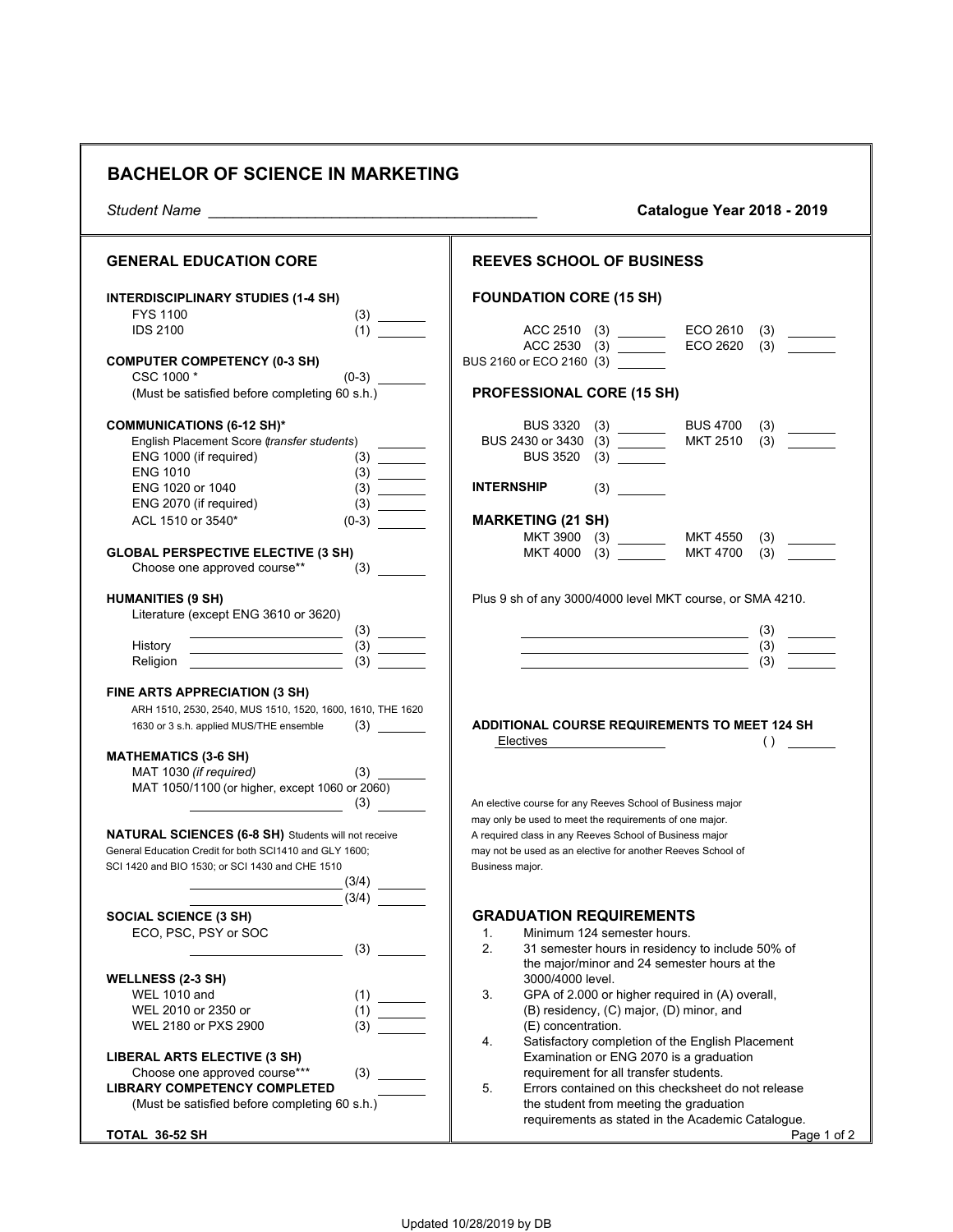## **BACHELOR OF SCIENCE IN MARKETING**

*Student Name \_\_\_\_\_\_\_\_\_\_\_\_\_\_\_\_\_\_\_\_\_\_\_\_\_\_\_\_\_\_\_\_\_\_\_\_\_\_\_\_* **Catalogue Year 2018 - 2019**

| <b>GENERAL EDUCATION CORE</b>                                                                                                                 | <b>REEVES SCHOOL OF BUSINESS</b>                                                                                       |
|-----------------------------------------------------------------------------------------------------------------------------------------------|------------------------------------------------------------------------------------------------------------------------|
| <b>INTERDISCIPLINARY STUDIES (1-4 SH)</b>                                                                                                     | <b>FOUNDATION CORE (15 SH)</b>                                                                                         |
| <b>FYS 1100</b>                                                                                                                               |                                                                                                                        |
| <b>IDS 2100</b><br>(1)                                                                                                                        | ECO 2610<br>(3)<br>ECO 2620<br>ACC 2530 (3)<br>(3)                                                                     |
| <b>COMPUTER COMPETENCY (0-3 SH)</b><br>CSC 1000 *<br>$(0-3)$                                                                                  | BUS 2160 or ECO 2160 (3) __                                                                                            |
| (Must be satisfied before completing 60 s.h.)                                                                                                 | <b>PROFESSIONAL CORE (15 SH)</b>                                                                                       |
|                                                                                                                                               |                                                                                                                        |
| <b>COMMUNICATIONS (6-12 SH)*</b>                                                                                                              | <b>BUS 3320</b><br><b>BUS 4700</b><br>(3)                                                                              |
| English Placement Score (transfer students)                                                                                                   | (3)<br><b>MKT 2510</b><br>BUS 2430 or 3430 (3) _______                                                                 |
| ENG 1000 (if required)                                                                                                                        | <b>BUS 3520</b>                                                                                                        |
| <b>ENG 1010</b>                                                                                                                               |                                                                                                                        |
| ENG 1020 or 1040                                                                                                                              | <b>INTERNSHIP</b><br>(3)                                                                                               |
| ENG 2070 (if required)                                                                                                                        |                                                                                                                        |
| ACL 1510 or 3540*<br>$(0-3)$                                                                                                                  | <b>MARKETING (21 SH)</b>                                                                                               |
|                                                                                                                                               | MKT 3900 (3) ________<br><b>MKT 4550</b><br>(3)                                                                        |
| <b>GLOBAL PERSPECTIVE ELECTIVE (3 SH)</b>                                                                                                     | MKT 4000 (3)<br><b>MKT 4700</b><br>(3)                                                                                 |
| Choose one approved course**                                                                                                                  |                                                                                                                        |
| <b>HUMANITIES (9 SH)</b>                                                                                                                      | Plus 9 sh of any 3000/4000 level MKT course, or SMA 4210.                                                              |
| Literature (except ENG 3610 or 3620)                                                                                                          |                                                                                                                        |
| <u> 1980 - Johann Barn, fransk politik (d. 1980)</u>                                                                                          | (3)<br><u> 1980 - Johann Barbara, martin amerikan basar da</u>                                                         |
| History                                                                                                                                       | (3)                                                                                                                    |
| Religion<br>(3)                                                                                                                               | (3)                                                                                                                    |
| FINE ARTS APPRECIATION (3 SH)<br>ARH 1510, 2530, 2540, MUS 1510, 1520, 1600, 1610, THE 1620<br>1630 or 3 s.h. applied MUS/THE ensemble<br>(3) | ADDITIONAL COURSE REQUIREMENTS TO MEET 124 SH<br>Electives<br>$\left( \ \right)$                                       |
| <b>MATHEMATICS (3-6 SH)</b>                                                                                                                   |                                                                                                                        |
| MAT 1030 (if required)                                                                                                                        |                                                                                                                        |
| MAT 1050/1100 (or higher, except 1060 or 2060)                                                                                                |                                                                                                                        |
| (3)<br><u> 1990 - Johann Barbara, martin a</u>                                                                                                | An elective course for any Reeves School of Business major                                                             |
|                                                                                                                                               | may only be used to meet the requirements of one major.                                                                |
| <b>NATURAL SCIENCES (6-8 SH)</b> Students will not receive<br>General Education Credit for both SCI1410 and GLY 1600;                         | A required class in any Reeves School of Business major<br>may not be used as an elective for another Reeves School of |
| SCI 1420 and BIO 1530; or SCI 1430 and CHE 1510                                                                                               | Business major.                                                                                                        |
| (3/4)                                                                                                                                         |                                                                                                                        |
| (3/4)                                                                                                                                         |                                                                                                                        |
| <b>SOCIAL SCIENCE (3 SH)</b>                                                                                                                  | <b>GRADUATION REQUIREMENTS</b>                                                                                         |
| ECO, PSC, PSY or SOC                                                                                                                          | 1.<br>Minimum 124 semester hours.                                                                                      |
| (3)                                                                                                                                           | 2.<br>31 semester hours in residency to include 50% of                                                                 |
|                                                                                                                                               | the major/minor and 24 semester hours at the                                                                           |
| <b>WELLNESS (2-3 SH)</b>                                                                                                                      | 3000/4000 level.                                                                                                       |
| (1)<br><b>WEL 1010 and</b>                                                                                                                    | 3.<br>GPA of 2.000 or higher required in (A) overall,                                                                  |
| WEL 2010 or 2350 or<br>(1)                                                                                                                    | (B) residency, (C) major, (D) minor, and                                                                               |
| WEL 2180 or PXS 2900<br>(3)                                                                                                                   | (E) concentration.                                                                                                     |
| <b>LIBERAL ARTS ELECTIVE (3 SH)</b>                                                                                                           | 4.<br>Satisfactory completion of the English Placement<br>Examination or ENG 2070 is a graduation                      |
| (3)<br>Choose one approved course***                                                                                                          | requirement for all transfer students.                                                                                 |
| <b>LIBRARY COMPETENCY COMPLETED</b>                                                                                                           | 5.<br>Errors contained on this checksheet do not release                                                               |
| (Must be satisfied before completing 60 s.h.)                                                                                                 | the student from meeting the graduation                                                                                |
|                                                                                                                                               | requirements as stated in the Academic Catalogue.                                                                      |
| TOTAL 36-52 SH                                                                                                                                | Page 1 of 2                                                                                                            |

 $\overline{\phantom{a}}$